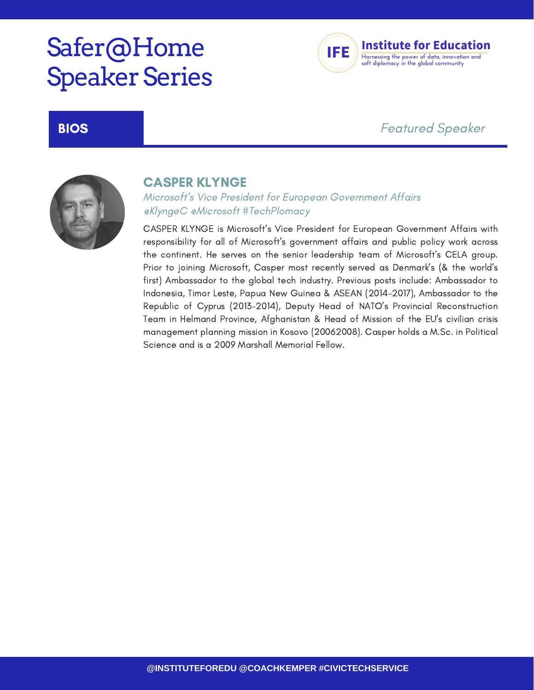# Safer@Home **Speaker Series**



## BIOS Featured Speaker



### CASPER KLYNGE

Microsoft's Vice President for European Government Affairs @KlyngeC @Microsoft #TechPlomacy

CASPER KLYNGE is Microsoft's Vice President for European Government Affairs with responsibility for all of Microsoft's government affairs and public policy work across the continent. He serves on the senior leadership team of Microsoft's CELA group. Prior to joining Microsoft, Casper most recently served as Denmark's (& the world's first) Ambassador to the global tech industry. Previous posts include: Ambassador to Indonesia, Timor Leste, Papua New Guinea & ASEAN (2014-2017), Ambassador to the Republic of Cyprus (2013-2014), Deputy Head of NATO's Provincial Reconstruction Team in Helmand Province, Afghanistan & Head of Mission of the EU's civilian crisis management planning mission in Kosovo (20062008). Casper holds a M.Sc. in Political Science and is a 2009 Marshall Memorial Fellow.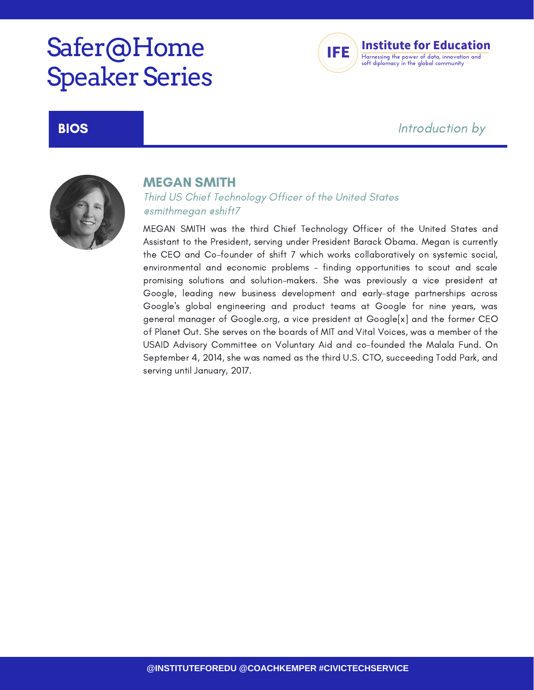# Safer@Home **Speaker Series**



## **BIOS Example 2 BIOS Example 2 EXAMPLE 2 EXAMPLE 2 EXAMPLE 2 EXAMPLE 2 EXAMPLE 2 EXAMPLE 2 EXAMPLE 2 EXAMPLE 2 EXAMPLE 2 EXAMPLE 2 EXAMPLE 2 EXAMPLE 2 EXAMPLE 2 EXAMPLE 2 EXAMPLE 2 EXA**



### MEGAN SMITH

Third US Chief Technology Officer of the United States @smithmegan @shift7

MEGAN SMITH was the third Chief Technology Officer of the United States and Assistant to the President, serving under President Barack Obama. Megan is currently the CEO and Co-founder of shift 7 which works collaboratively on systemic social, environmental and economic problems - finding opportunities to scout and scale promising solutions and solution-makers. She was previously a vice president at Google, leading new business development and early-stage partnerships across Google's global engineering and product teams at Google for nine years, was general manager of Google.org, a vice president at Google[x] and the former CEO of Planet Out. She serves on the boards of MIT and Vital Voices, was a member of the USAID Advisory Committee on Voluntary Aid and co-founded the Malala Fund. On September 4, 2014, she was named as the third U.S. CTO, succeeding Todd Park, and serving until January, 2017.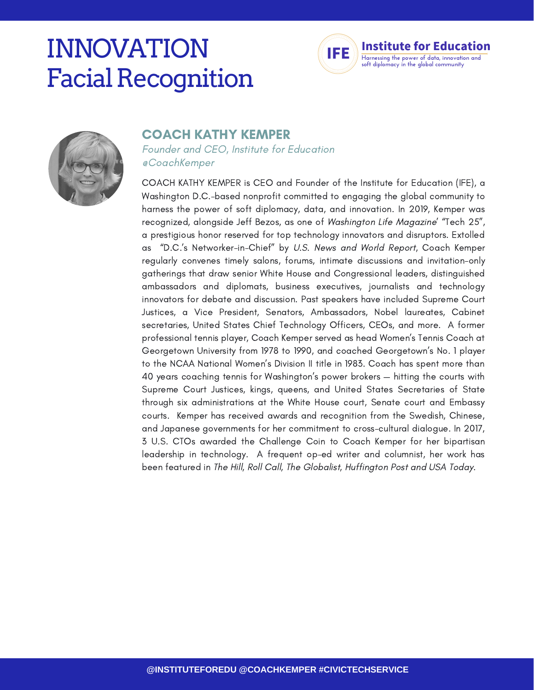# INNOVATION **Facial Recognition**





### COACH KATHY KEMPER

Founder and CEO, Institute for Education @CoachKemper

COACH KATHY KEMPER is CEO and Founder of the Institute for Education (IFE), a Washington D.C.-based nonprofit committed to engaging the global community to harness the power of soft diplomacy, data, and innovation. In 2019, Kemper was recognized, alongside Jeff Bezos, as one of Washington Life Magazine' "Tech 25", a prestigious honor reserved for top technology innovators and disruptors. Extolled "D.C.'s Networker-in-Chief" by U.S. News and World Report, Coach Kemper regularly convenes timely salons, forums, intimate discussions and invitation-only gatherings that draw senior White House and Congressional leaders, distinguished ambassadors and diplomats, business executives, journalists and technology innovators for debate and discussion. Past speakers have included Supreme Court Justices, a Vice President, Senators, Ambassadors, Nobel laureates, Cabinet secretaries, United States Chief Technology Officers, CEOs, and more. A former professional tennis player, Coach Kemper served as head Women's Tennis Coach at Georgetown University from 1978 to 1990, and coached Georgetown's No. 1 player to the NCAA National Women's Division II title in 1983. Coach has spent more than 40 years coaching tennis for Washington's power brokers — hitting the courts with Supreme Court Justices, kings, queens, and United States Secretaries of State through six administrations at the White House court, Senate court and Embassy courts. Kemper has received awards and recognition from the Swedish, Chinese, and Japanese governments for her commitment to cross-cultural dialogue. In 2017, 3 U.S. CTOs awarded the Challenge Coin to Coach Kemper for her bipartisan leadership in technology. A frequent op-ed writer and columnist, her work has been featured in The Hill, Roll Call, The Globalist, Huffington Post and USA Today.